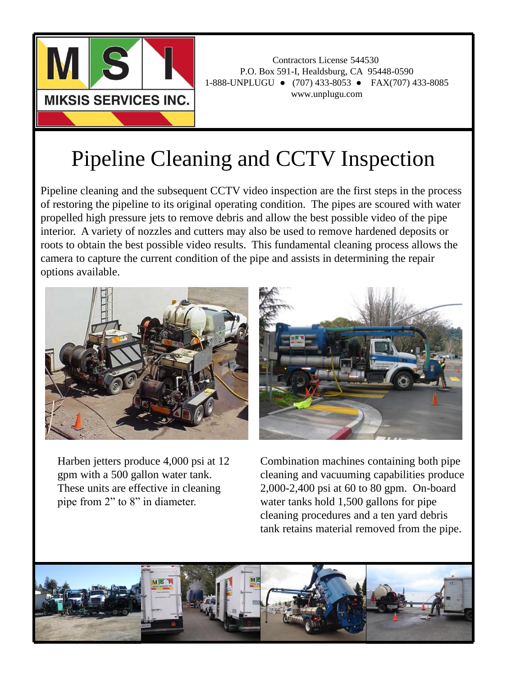

Contractors License 544530 P.O. Box 591-I, Healdsburg, CA 95448-0590 1-888-UNPLUGU ● (707) 433-8053 ● FAX(707) 433-8085 www.unplugu.com

## Pipeline Cleaning and CCTV Inspection

Pipeline cleaning and the subsequent CCTV video inspection are the first steps in the process of restoring the pipeline to its original operating condition. The pipes are scoured with water propelled high pressure jets to remove debris and allow the best possible video of the pipe interior. A variety of nozzles and cutters may also be used to remove hardened deposits or roots to obtain the best possible video results. This fundamental cleaning process allows the camera to capture the current condition of the pipe and assists in determining the repair options available.



Harben jetters produce 4,000 psi at 12 gpm with a 500 gallon water tank. These units are effective in cleaning pipe from 2" to 8" in diameter.



Combination machines containing both pipe cleaning and vacuuming capabilities produce 2,000-2,400 psi at 60 to 80 gpm. On-board water tanks hold 1,500 gallons for pipe cleaning procedures and a ten yard debris tank retains material removed from the pipe.

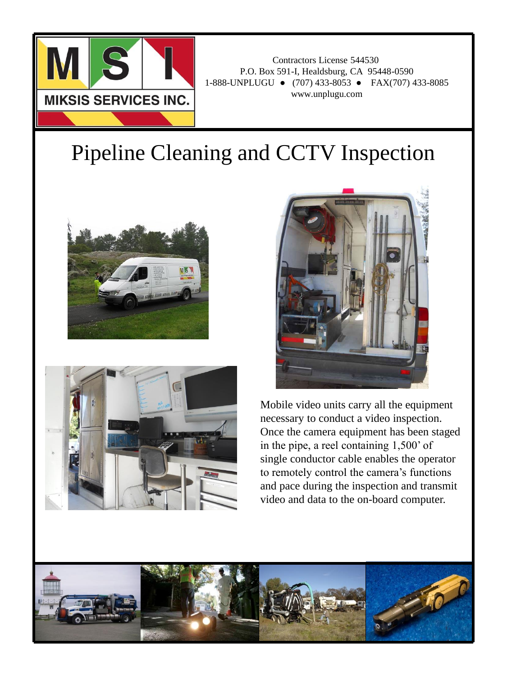

Contractors License 544530 P.O. Box 591-I, Healdsburg, CA 95448-0590 1-888-UNPLUGU ● (707) 433-8053 ● FAX(707) 433-8085 www.unplugu.com

## Pipeline Cleaning and CCTV Inspection







Mobile video units carry all the equipment necessary to conduct a video inspection. Once the camera equipment has been staged in the pipe, a reel containing 1,500' of single conductor cable enables the operator to remotely control the camera's functions and pace during the inspection and transmit video and data to the on-board computer.